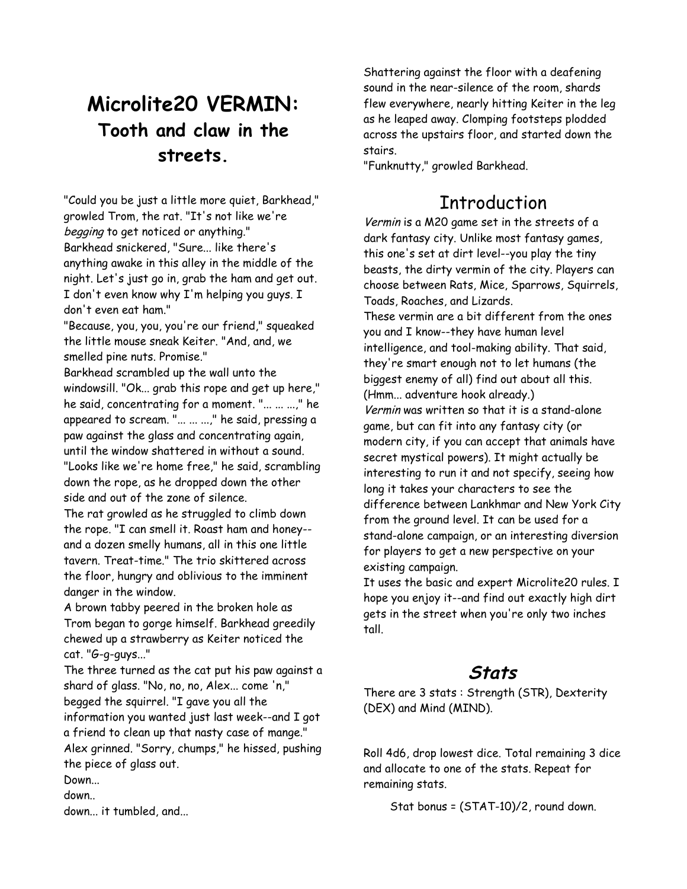# **Microlite20 VERMIN: Tooth and claw in the streets.**

"Could you be just a little more quiet, Barkhead," growled Trom, the rat. "It's not like we're begging to get noticed or anything." Barkhead snickered, "Sure... like there's anything awake in this alley in the middle of the night. Let's just go in, grab the ham and get out. I don't even know why I'm helping you guys. I don't even eat ham."

"Because, you, you, you're our friend," squeaked the little mouse sneak Keiter. "And, and, we smelled pine nuts. Promise."

Barkhead scrambled up the wall unto the windowsill. "Ok... grab this rope and get up here," he said, concentrating for a moment. "... ... ...," he appeared to scream. "... ... ...," he said, pressing a paw against the glass and concentrating again, until the window shattered in without a sound. "Looks like we're home free," he said, scrambling down the rope, as he dropped down the other side and out of the zone of silence.

The rat growled as he struggled to climb down the rope. "I can smell it. Roast ham and honey- and a dozen smelly humans, all in this one little tavern. Treat-time." The trio skittered across the floor, hungry and oblivious to the imminent danger in the window.

A brown tabby peered in the broken hole as Trom began to gorge himself. Barkhead greedily chewed up a strawberry as Keiter noticed the cat. "G-g-guys..."

The three turned as the cat put his paw against a shard of glass. "No, no, no, Alex... come 'n," begged the squirrel. "I gave you all the information you wanted just last week--and I got a friend to clean up that nasty case of mange." Alex grinned. "Sorry, chumps," he hissed, pushing the piece of glass out.

Down...

down..

down... it tumbled, and...

Shattering against the floor with a deafening sound in the near-silence of the room, shards flew everywhere, nearly hitting Keiter in the leg as he leaped away. Clomping footsteps plodded across the upstairs floor, and started down the stairs.

"Funknutty," growled Barkhead.

## Introduction

Vermin is a M20 game set in the streets of a dark fantasy city. Unlike most fantasy games, this one's set at dirt level--you play the tiny beasts, the dirty vermin of the city. Players can choose between Rats, Mice, Sparrows, Squirrels, Toads, Roaches, and Lizards.

These vermin are a bit different from the ones you and I know--they have human level intelligence, and tool-making ability. That said, they're smart enough not to let humans (the biggest enemy of all) find out about all this. (Hmm... adventure hook already.)

Vermin was written so that it is a stand-alone game, but can fit into any fantasy city (or modern city, if you can accept that animals have secret mystical powers). It might actually be interesting to run it and not specify, seeing how long it takes your characters to see the difference between Lankhmar and New York City from the ground level. It can be used for a stand-alone campaign, or an interesting diversion for players to get a new perspective on your existing campaign.

It uses the basic and expert Microlite20 rules. I hope you enjoy it--and find out exactly high dirt gets in the street when you're only two inches tall.

## **Stats**

There are 3 stats : Strength (STR), Dexterity (DEX) and Mind (MIND).

Roll 4d6, drop lowest dice. Total remaining 3 dice and allocate to one of the stats. Repeat for remaining stats.

Stat bonus = (STAT-10)/2, round down.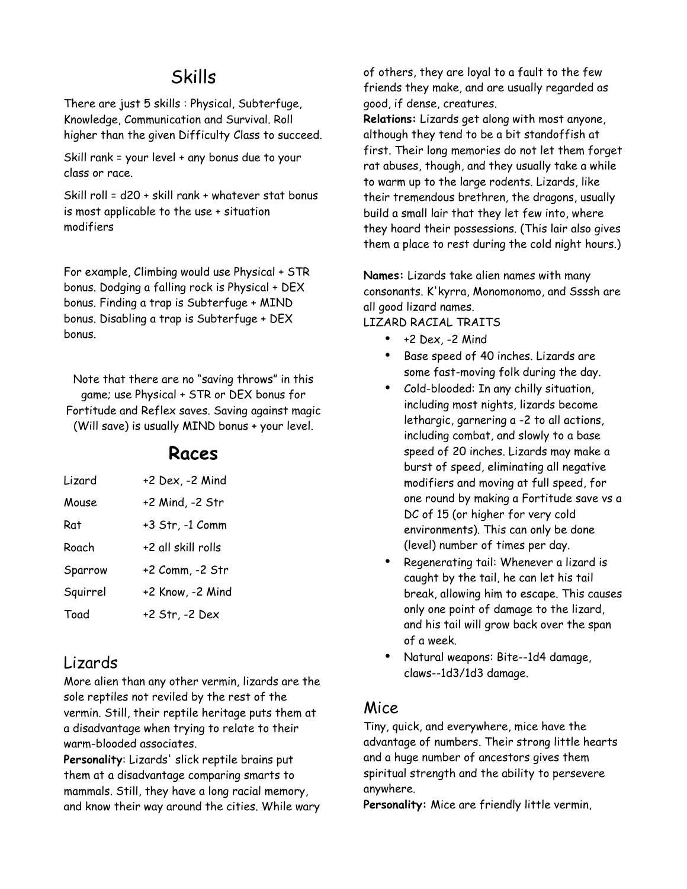## Skills

There are just 5 skills : Physical, Subterfuge, Knowledge, Communication and Survival. Roll higher than the given Difficulty Class to succeed.

Skill rank = your level + any bonus due to your class or race.

Skill roll = d20 + skill rank + whatever stat bonus is most applicable to the use + situation modifiers

For example, Climbing would use Physical + STR bonus. Dodging a falling rock is Physical + DEX bonus. Finding a trap is Subterfuge + MIND bonus. Disabling a trap is Subterfuge + DEX bonus.

Note that there are no "saving throws" in this game; use Physical + STR or DEX bonus for Fortitude and Reflex saves. Saving against magic (Will save) is usually MIND bonus + your level.

### **Races**

| Lizard   | +2 Dex, -2 Mind    |
|----------|--------------------|
| Mouse    | +2 Mind, -2 Str    |
| Rat      | +3 Str, -1 Comm    |
| Roach    | +2 all skill rolls |
| Sparrow  | +2 Comm, -2 Str    |
| Squirrel | +2 Know, -2 Mind   |
| Toad     | +2 Str, -2 Dex     |

### Lizards

More alien than any other vermin, lizards are the sole reptiles not reviled by the rest of the vermin. Still, their reptile heritage puts them at a disadvantage when trying to relate to their warm-blooded associates.

**Personality**: Lizards' slick reptile brains put them at a disadvantage comparing smarts to mammals. Still, they have a long racial memory, and know their way around the cities. While wary of others, they are loyal to a fault to the few friends they make, and are usually regarded as good, if dense, creatures.

**Relations:** Lizards get along with most anyone, although they tend to be a bit standoffish at first. Their long memories do not let them forget rat abuses, though, and they usually take a while to warm up to the large rodents. Lizards, like their tremendous brethren, the dragons, usually build a small lair that they let few into, where they hoard their possessions. (This lair also gives them a place to rest during the cold night hours.)

**Names:** Lizards take alien names with many consonants. K'kyrra, Monomonomo, and Ssssh are all good lizard names.

#### LIZARD RACIAL TRAITS

- $\bullet$  +2 Dex, -2 Mind
- Base speed of 40 inches. Lizards are some fast-moving folk during the day.
- Cold-blooded: In any chilly situation, including most nights, lizards become lethargic, garnering a -2 to all actions, including combat, and slowly to a base speed of 20 inches. Lizards may make a burst of speed, eliminating all negative modifiers and moving at full speed, for one round by making a Fortitude save vs a DC of 15 (or higher for very cold environments). This can only be done (level) number of times per day.
- Regenerating tail: Whenever a lizard is caught by the tail, he can let his tail break, allowing him to escape. This causes only one point of damage to the lizard, and his tail will grow back over the span of a week.
- Natural weapons: Bite--1d4 damage, claws--1d3/1d3 damage.

### Mice

Tiny, quick, and everywhere, mice have the advantage of numbers. Their strong little hearts and a huge number of ancestors gives them spiritual strength and the ability to persevere anywhere.

**Personality:** Mice are friendly little vermin,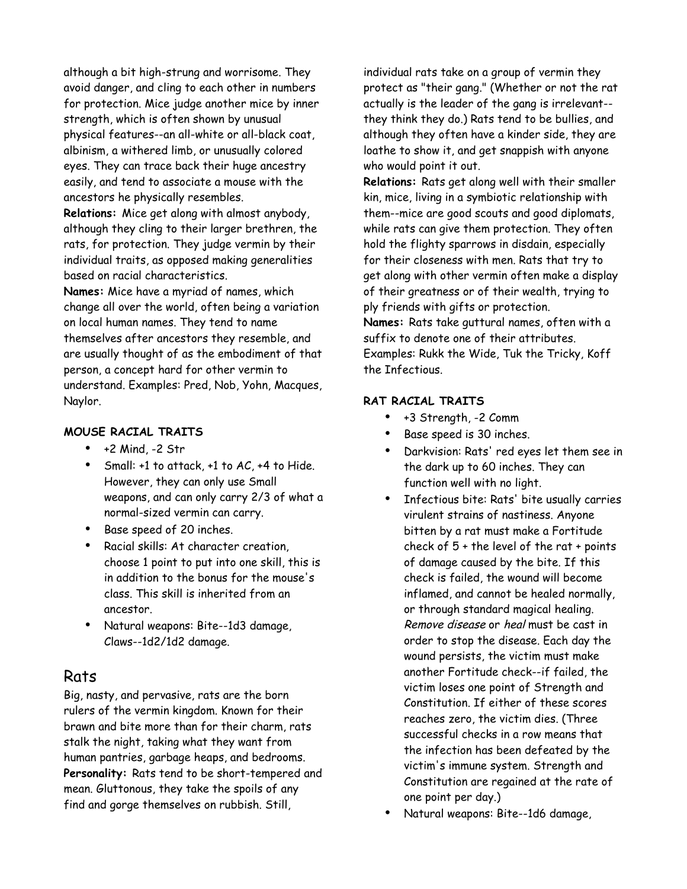although a bit high-strung and worrisome. They avoid danger, and cling to each other in numbers for protection. Mice judge another mice by inner strength, which is often shown by unusual physical features--an all-white or all-black coat, albinism, a withered limb, or unusually colored eyes. They can trace back their huge ancestry easily, and tend to associate a mouse with the ancestors he physically resembles.

**Relations:** Mice get along with almost anybody, although they cling to their larger brethren, the rats, for protection. They judge vermin by their individual traits, as opposed making generalities based on racial characteristics.

**Names:** Mice have a myriad of names, which change all over the world, often being a variation on local human names. They tend to name themselves after ancestors they resemble, and are usually thought of as the embodiment of that person, a concept hard for other vermin to understand. Examples: Pred, Nob, Yohn, Macques, Naylor.

#### **MOUSE RACIAL TRAITS**

- $\bullet$  +2 Mind, -2 Str
- Small: +1 to attack, +1 to AC, +4 to Hide. However, they can only use Small weapons, and can only carry 2/3 of what a normal-sized vermin can carry.
- Base speed of 20 inches.
- Racial skills: At character creation, choose 1 point to put into one skill, this is in addition to the bonus for the mouse's class. This skill is inherited from an ancestor.
- Natural weapons: Bite--1d3 damage, Claws--1d2/1d2 damage.

### Rats

Big, nasty, and pervasive, rats are the born rulers of the vermin kingdom. Known for their brawn and bite more than for their charm, rats stalk the night, taking what they want from human pantries, garbage heaps, and bedrooms. **Personality:** Rats tend to be short-tempered and mean. Gluttonous, they take the spoils of any find and gorge themselves on rubbish. Still,

individual rats take on a group of vermin they protect as "their gang." (Whether or not the rat actually is the leader of the gang is irrelevant- they think they do.) Rats tend to be bullies, and although they often have a kinder side, they are loathe to show it, and get snappish with anyone who would point it out.

**Relations:** Rats get along well with their smaller kin, mice, living in a symbiotic relationship with them--mice are good scouts and good diplomats, while rats can give them protection. They often hold the flighty sparrows in disdain, especially for their closeness with men. Rats that try to get along with other vermin often make a display of their greatness or of their wealth, trying to ply friends with gifts or protection.

**Names:** Rats take guttural names, often with a suffix to denote one of their attributes. Examples: Rukk the Wide, Tuk the Tricky, Koff the Infectious.

#### **RAT RACIAL TRAITS**

- +3 Strength, -2 Comm
- Base speed is 30 inches.
- Darkvision: Rats' red eyes let them see in the dark up to 60 inches. They can function well with no light.
- Infectious bite: Rats' bite usually carries virulent strains of nastiness. Anyone bitten by a rat must make a Fortitude check of 5 + the level of the rat + points of damage caused by the bite. If this check is failed, the wound will become inflamed, and cannot be healed normally, or through standard magical healing. Remove disease or heal must be cast in order to stop the disease. Each day the wound persists, the victim must make another Fortitude check--if failed, the victim loses one point of Strength and Constitution. If either of these scores reaches zero, the victim dies. (Three successful checks in a row means that the infection has been defeated by the victim's immune system. Strength and Constitution are regained at the rate of one point per day.)
- Natural weapons: Bite--1d6 damage,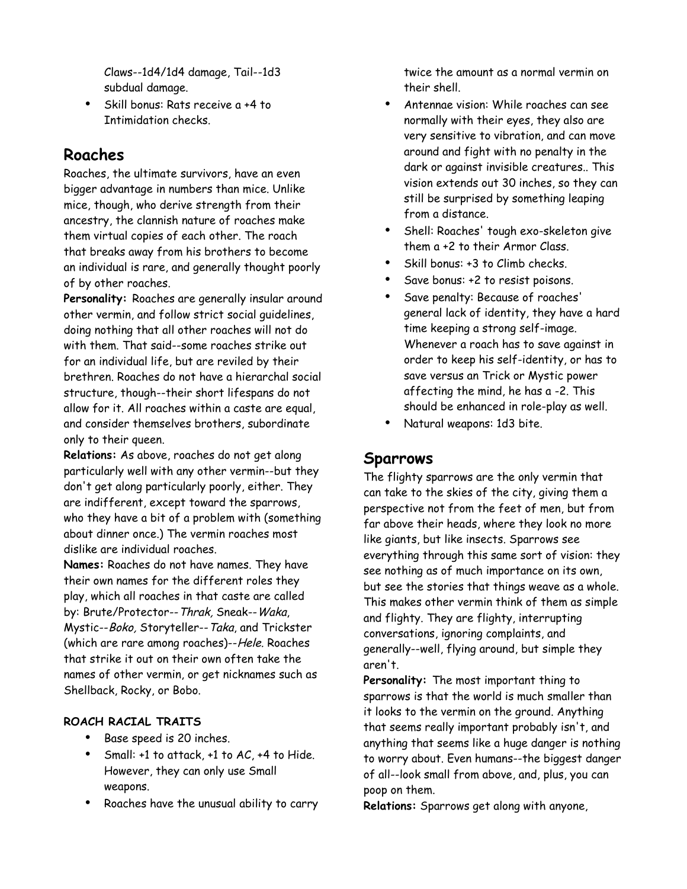Claws--1d4/1d4 damage, Tail--1d3 subdual damage.

• Skill bonus: Rats receive a +4 to Intimidation checks.

### **Roaches**

Roaches, the ultimate survivors, have an even bigger advantage in numbers than mice. Unlike mice, though, who derive strength from their ancestry, the clannish nature of roaches make them virtual copies of each other. The roach that breaks away from his brothers to become an individual is rare, and generally thought poorly of by other roaches.

**Personality:** Roaches are generally insular around other vermin, and follow strict social guidelines, doing nothing that all other roaches will not do with them. That said--some roaches strike out for an individual life, but are reviled by their brethren. Roaches do not have a hierarchal social structure, though--their short lifespans do not allow for it. All roaches within a caste are equal, and consider themselves brothers, subordinate only to their queen.

**Relations:** As above, roaches do not get along particularly well with any other vermin--but they don't get along particularly poorly, either. They are indifferent, except toward the sparrows, who they have a bit of a problem with (something about dinner once.) The vermin roaches most dislike are individual roaches.

**Names:** Roaches do not have names. They have their own names for the different roles they play, which all roaches in that caste are called by: Brute/Protector--Thrak, Sneak--Waka, Mystic--Boko, Storyteller--Taka, and Trickster (which are rare among roaches)--Hele. Roaches that strike it out on their own often take the names of other vermin, or get nicknames such as Shellback, Rocky, or Bobo.

#### **ROACH RACIAL TRAITS**

- Base speed is 20 inches.
- Small: +1 to attack, +1 to AC, +4 to Hide. However, they can only use Small weapons.
- Roaches have the unusual ability to carry

twice the amount as a normal vermin on their shell.

- Antennae vision: While roaches can see normally with their eyes, they also are very sensitive to vibration, and can move around and fight with no penalty in the dark or against invisible creatures.. This vision extends out 30 inches, so they can still be surprised by something leaping from a distance.
- Shell: Roaches' tough exo-skeleton give them a +2 to their Armor Class.
- Skill bonus: +3 to Climb checks.
- Save bonus: +2 to resist poisons.
- Save penalty: Because of roaches' general lack of identity, they have a hard time keeping a strong self-image. Whenever a roach has to save against in order to keep his self-identity, or has to save versus an Trick or Mystic power affecting the mind, he has a -2. This should be enhanced in role-play as well.
- Natural weapons: 1d3 bite.

### **Sparrows**

The flighty sparrows are the only vermin that can take to the skies of the city, giving them a perspective not from the feet of men, but from far above their heads, where they look no more like giants, but like insects. Sparrows see everything through this same sort of vision: they see nothing as of much importance on its own, but see the stories that things weave as a whole. This makes other vermin think of them as simple and flighty. They are flighty, interrupting conversations, ignoring complaints, and generally--well, flying around, but simple they aren't.

**Personality:** The most important thing to sparrows is that the world is much smaller than it looks to the vermin on the ground. Anything that seems really important probably isn't, and anything that seems like a huge danger is nothing to worry about. Even humans--the biggest danger of all--look small from above, and, plus, you can poop on them.

**Relations:** Sparrows get along with anyone,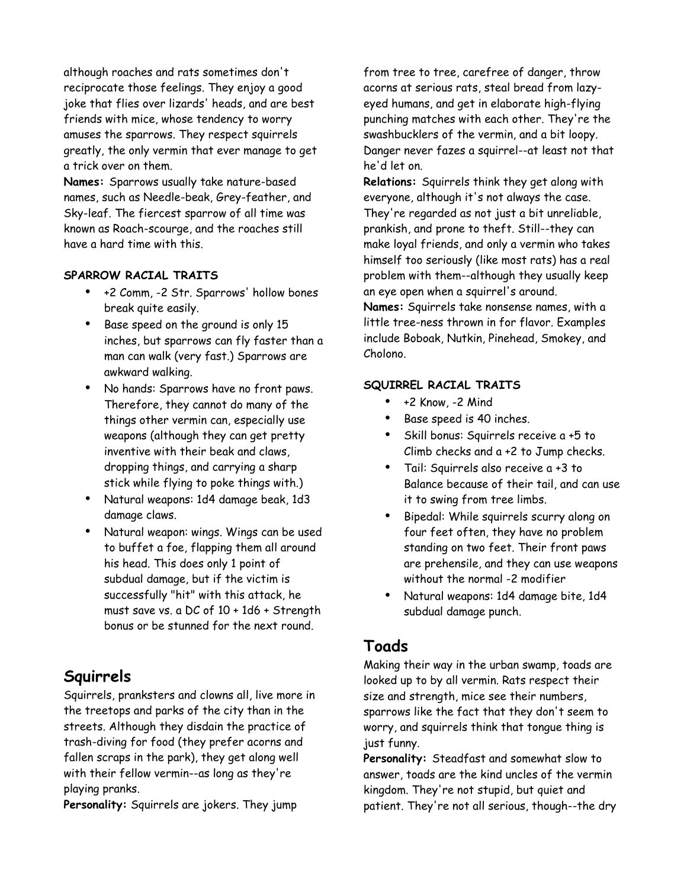although roaches and rats sometimes don't reciprocate those feelings. They enjoy a good joke that flies over lizards' heads, and are best friends with mice, whose tendency to worry amuses the sparrows. They respect squirrels greatly, the only vermin that ever manage to get a trick over on them.

**Names:** Sparrows usually take nature-based names, such as Needle-beak, Grey-feather, and Sky-leaf. The fiercest sparrow of all time was known as Roach-scourge, and the roaches still have a hard time with this.

#### **SPARROW RACIAL TRAITS**

- +2 Comm, -2 Str. Sparrows' hollow bones break quite easily.
- Base speed on the ground is only 15 inches, but sparrows can fly faster than a man can walk (very fast.) Sparrows are awkward walking.
- No hands: Sparrows have no front paws. Therefore, they cannot do many of the things other vermin can, especially use weapons (although they can get pretty inventive with their beak and claws, dropping things, and carrying a sharp stick while flying to poke things with.)
- Natural weapons: 1d4 damage beak, 1d3 damage claws.
- Natural weapon: wings. Wings can be used to buffet a foe, flapping them all around his head. This does only 1 point of subdual damage, but if the victim is successfully "hit" with this attack, he must save vs. a DC of 10 + 1d6 + Strength bonus or be stunned for the next round.

### **Squirrels**

Squirrels, pranksters and clowns all, live more in the treetops and parks of the city than in the streets. Although they disdain the practice of trash-diving for food (they prefer acorns and fallen scraps in the park), they get along well with their fellow vermin--as long as they're playing pranks.

**Personality:** Squirrels are jokers. They jump

from tree to tree, carefree of danger, throw acorns at serious rats, steal bread from lazyeyed humans, and get in elaborate high-flying punching matches with each other. They're the swashbucklers of the vermin, and a bit loopy. Danger never fazes a squirrel--at least not that he'd let on.

**Relations:** Squirrels think they get along with everyone, although it's not always the case. They're regarded as not just a bit unreliable, prankish, and prone to theft. Still--they can make loyal friends, and only a vermin who takes himself too seriously (like most rats) has a real problem with them--although they usually keep an eye open when a squirrel's around.

**Names:** Squirrels take nonsense names, with a little tree-ness thrown in for flavor. Examples include Boboak, Nutkin, Pinehead, Smokey, and Cholono.

#### **SQUIRREL RACIAL TRAITS**

- +2 Know, -2 Mind
- Base speed is 40 inches.
- Skill bonus: Squirrels receive a +5 to Climb checks and a +2 to Jump checks.
- Tail: Squirrels also receive a +3 to Balance because of their tail, and can use it to swing from tree limbs.
- Bipedal: While squirrels scurry along on four feet often, they have no problem standing on two feet. Their front paws are prehensile, and they can use weapons without the normal -2 modifier
- Natural weapons: 1d4 damage bite, 1d4 subdual damage punch.

### **Toads**

Making their way in the urban swamp, toads are looked up to by all vermin. Rats respect their size and strength, mice see their numbers, sparrows like the fact that they don't seem to worry, and squirrels think that tongue thing is just funny.

**Personality:** Steadfast and somewhat slow to answer, toads are the kind uncles of the vermin kingdom. They're not stupid, but quiet and patient. They're not all serious, though--the dry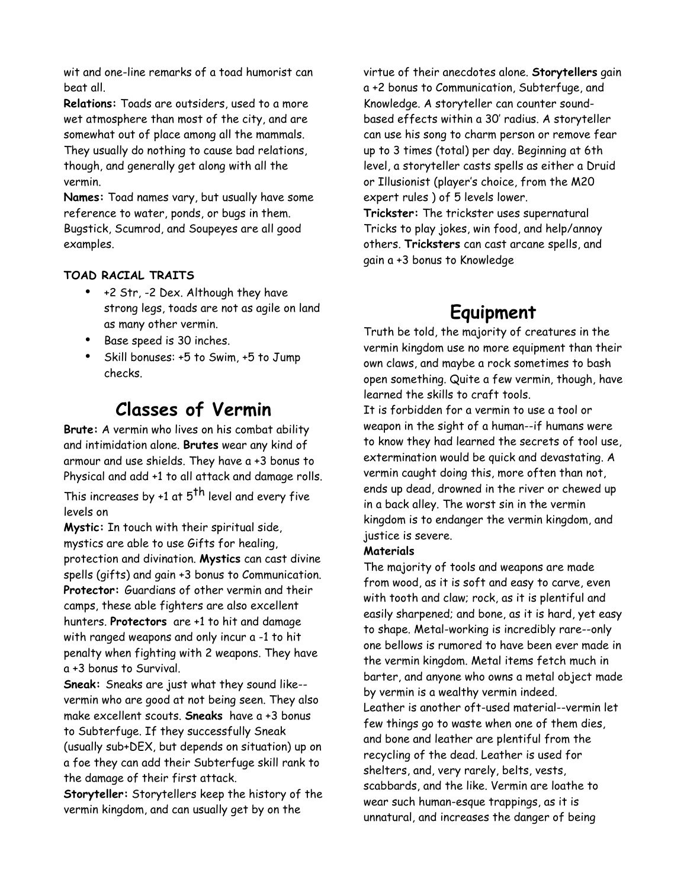wit and one-line remarks of a toad humorist can beat all.

**Relations:** Toads are outsiders, used to a more wet atmosphere than most of the city, and are somewhat out of place among all the mammals. They usually do nothing to cause bad relations, though, and generally get along with all the vermin.

**Names:** Toad names vary, but usually have some reference to water, ponds, or bugs in them. Bugstick, Scumrod, and Soupeyes are all good examples.

#### **TOAD RACIAL TRAITS**

- +2 Str, -2 Dex. Although they have strong legs, toads are not as agile on land as many other vermin.
- Base speed is 30 inches.
- Skill bonuses: +5 to Swim, +5 to Jump checks.

## **Classes of Vermin**

**Brute:** A vermin who lives on his combat ability and intimidation alone. **Brutes** wear any kind of armour and use shields. They have a +3 bonus to Physical and add +1 to all attack and damage rolls.

This increases by +1 at  $5^{th}$  level and every five levels on

**Mystic:** In touch with their spiritual side, mystics are able to use Gifts for healing, protection and divination. **Mystics** can cast divine spells (gifts) and gain +3 bonus to Communication. **Protector:** Guardians of other vermin and their camps, these able fighters are also excellent hunters. **Protectors** are +1 to hit and damage with ranged weapons and only incur a -1 to hit penalty when fighting with 2 weapons. They have a +3 bonus to Survival.

**Sneak:** Sneaks are just what they sound like- vermin who are good at not being seen. They also make excellent scouts. **Sneaks** have a +3 bonus to Subterfuge. If they successfully Sneak (usually sub+DEX, but depends on situation) up on a foe they can add their Subterfuge skill rank to the damage of their first attack.

**Storyteller:** Storytellers keep the history of the vermin kingdom, and can usually get by on the

virtue of their anecdotes alone. **Storytellers** gain a +2 bonus to Communication, Subterfuge, and Knowledge. A storyteller can counter soundbased effects within a 30' radius. A storyteller can use his song to charm person or remove fear up to 3 times (total) per day. Beginning at 6th level, a storyteller casts spells as either a Druid or Illusionist (player's choice, from the M20 expert rules ) of 5 levels lower. **Trickster:** The trickster uses supernatural Tricks to play jokes, win food, and help/annoy others. **Tricksters** can cast arcane spells, and

**Equipment**

gain a +3 bonus to Knowledge

Truth be told, the majority of creatures in the vermin kingdom use no more equipment than their own claws, and maybe a rock sometimes to bash open something. Quite a few vermin, though, have learned the skills to craft tools.

It is forbidden for a vermin to use a tool or weapon in the sight of a human--if humans were to know they had learned the secrets of tool use, extermination would be quick and devastating. A vermin caught doing this, more often than not, ends up dead, drowned in the river or chewed up in a back alley. The worst sin in the vermin kingdom is to endanger the vermin kingdom, and justice is severe.

#### **Materials**

The majority of tools and weapons are made from wood, as it is soft and easy to carve, even with tooth and claw; rock, as it is plentiful and easily sharpened; and bone, as it is hard, yet easy to shape. Metal-working is incredibly rare--only one bellows is rumored to have been ever made in the vermin kingdom. Metal items fetch much in barter, and anyone who owns a metal object made by vermin is a wealthy vermin indeed. Leather is another oft-used material--vermin let few things go to waste when one of them dies, and bone and leather are plentiful from the recycling of the dead. Leather is used for shelters, and, very rarely, belts, vests, scabbards, and the like. Vermin are loathe to wear such human-esque trappings, as it is unnatural, and increases the danger of being